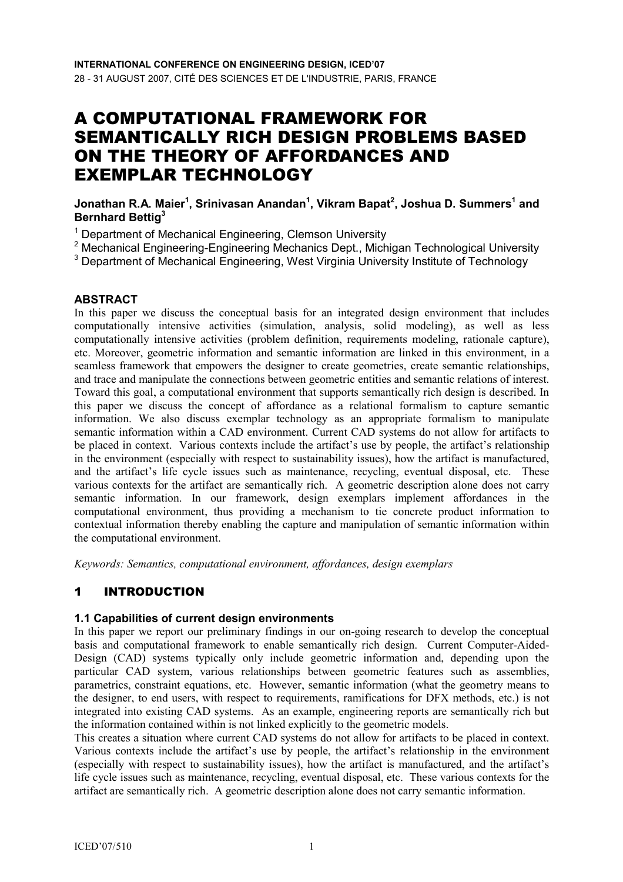# A COMPUTATIONAL FRAMEWORK FOR SEMANTICALLY RICH DESIGN PROBLEMS BASED ON THE THEORY OF AFFORDANCES AND EXEMPLAR TECHNOLOGY

Jonathan R.A. Maier $^1$ , Srinivasan Anandan $^1$ , Vikram Bapat $^2$ , Joshua D. Summers $^1$  and Bernhard Bettig<sup>3</sup>

<sup>1</sup> Department of Mechanical Engineering, Clemson University

<sup>2</sup> Mechanical Engineering-Engineering Mechanics Dept., Michigan Technological University

<sup>3</sup> Department of Mechanical Engineering, West Virginia University Institute of Technology

#### ABSTRACT

In this paper we discuss the conceptual basis for an integrated design environment that includes computationally intensive activities (simulation, analysis, solid modeling), as well as less computationally intensive activities (problem definition, requirements modeling, rationale capture), etc. Moreover, geometric information and semantic information are linked in this environment, in a seamless framework that empowers the designer to create geometries, create semantic relationships, and trace and manipulate the connections between geometric entities and semantic relations of interest. Toward this goal, a computational environment that supports semantically rich design is described. In this paper we discuss the concept of affordance as a relational formalism to capture semantic information. We also discuss exemplar technology as an appropriate formalism to manipulate semantic information within a CAD environment. Current CAD systems do not allow for artifacts to be placed in context. Various contexts include the artifact's use by people, the artifact's relationship in the environment (especially with respect to sustainability issues), how the artifact is manufactured, and the artifact's life cycle issues such as maintenance, recycling, eventual disposal, etc. These various contexts for the artifact are semantically rich. A geometric description alone does not carry semantic information. In our framework, design exemplars implement affordances in the computational environment, thus providing a mechanism to tie concrete product information to contextual information thereby enabling the capture and manipulation of semantic information within the computational environment.

Keywords: Semantics, computational environment, affordances, design exemplars

# 1 INTRODUCTION

#### 1.1 Capabilities of current design environments

In this paper we report our preliminary findings in our on-going research to develop the conceptual basis and computational framework to enable semantically rich design. Current Computer-Aided-Design (CAD) systems typically only include geometric information and, depending upon the particular CAD system, various relationships between geometric features such as assemblies, parametrics, constraint equations, etc. However, semantic information (what the geometry means to the designer, to end users, with respect to requirements, ramifications for DFX methods, etc.) is not integrated into existing CAD systems. As an example, engineering reports are semantically rich but the information contained within is not linked explicitly to the geometric models.

This creates a situation where current CAD systems do not allow for artifacts to be placed in context. Various contexts include the artifact's use by people, the artifact's relationship in the environment (especially with respect to sustainability issues), how the artifact is manufactured, and the artifact's life cycle issues such as maintenance, recycling, eventual disposal, etc. These various contexts for the artifact are semantically rich. A geometric description alone does not carry semantic information.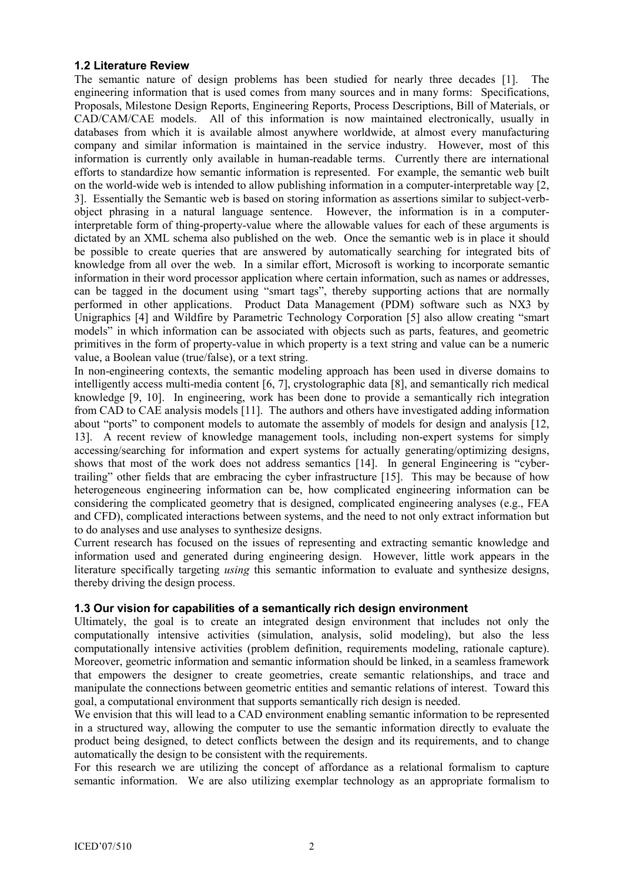#### 1.2 Literature Review

The semantic nature of design problems has been studied for nearly three decades [1]. The engineering information that is used comes from many sources and in many forms: Specifications, Proposals, Milestone Design Reports, Engineering Reports, Process Descriptions, Bill of Materials, or CAD/CAM/CAE models. All of this information is now maintained electronically, usually in databases from which it is available almost anywhere worldwide, at almost every manufacturing company and similar information is maintained in the service industry. However, most of this information is currently only available in human-readable terms. Currently there are international efforts to standardize how semantic information is represented. For example, the semantic web built on the world-wide web is intended to allow publishing information in a computer-interpretable way [2, 3]. Essentially the Semantic web is based on storing information as assertions similar to subject-verbobject phrasing in a natural language sentence. However, the information is in a computerinterpretable form of thing-property-value where the allowable values for each of these arguments is dictated by an XML schema also published on the web. Once the semantic web is in place it should be possible to create queries that are answered by automatically searching for integrated bits of knowledge from all over the web. In a similar effort, Microsoft is working to incorporate semantic information in their word processor application where certain information, such as names or addresses, can be tagged in the document using "smart tags", thereby supporting actions that are normally performed in other applications. Product Data Management (PDM) software such as NX3 by Unigraphics [4] and Wildfire by Parametric Technology Corporation [5] also allow creating "smart models" in which information can be associated with objects such as parts, features, and geometric primitives in the form of property-value in which property is a text string and value can be a numeric value, a Boolean value (true/false), or a text string.

In non-engineering contexts, the semantic modeling approach has been used in diverse domains to intelligently access multi-media content [6, 7], crystolographic data [8], and semantically rich medical knowledge [9, 10]. In engineering, work has been done to provide a semantically rich integration from CAD to CAE analysis models [11]. The authors and others have investigated adding information about "ports" to component models to automate the assembly of models for design and analysis [12, 13]. A recent review of knowledge management tools, including non-expert systems for simply accessing/searching for information and expert systems for actually generating/optimizing designs, shows that most of the work does not address semantics [14]. In general Engineering is "cybertrailing" other fields that are embracing the cyber infrastructure [15]. This may be because of how heterogeneous engineering information can be, how complicated engineering information can be considering the complicated geometry that is designed, complicated engineering analyses (e.g., FEA and CFD), complicated interactions between systems, and the need to not only extract information but to do analyses and use analyses to synthesize designs.

Current research has focused on the issues of representing and extracting semantic knowledge and information used and generated during engineering design. However, little work appears in the literature specifically targeting *using* this semantic information to evaluate and synthesize designs, thereby driving the design process.

#### 1.3 Our vision for capabilities of a semantically rich design environment

Ultimately, the goal is to create an integrated design environment that includes not only the computationally intensive activities (simulation, analysis, solid modeling), but also the less computationally intensive activities (problem definition, requirements modeling, rationale capture). Moreover, geometric information and semantic information should be linked, in a seamless framework that empowers the designer to create geometries, create semantic relationships, and trace and manipulate the connections between geometric entities and semantic relations of interest. Toward this goal, a computational environment that supports semantically rich design is needed.

We envision that this will lead to a CAD environment enabling semantic information to be represented in a structured way, allowing the computer to use the semantic information directly to evaluate the product being designed, to detect conflicts between the design and its requirements, and to change automatically the design to be consistent with the requirements.

For this research we are utilizing the concept of affordance as a relational formalism to capture semantic information. We are also utilizing exemplar technology as an appropriate formalism to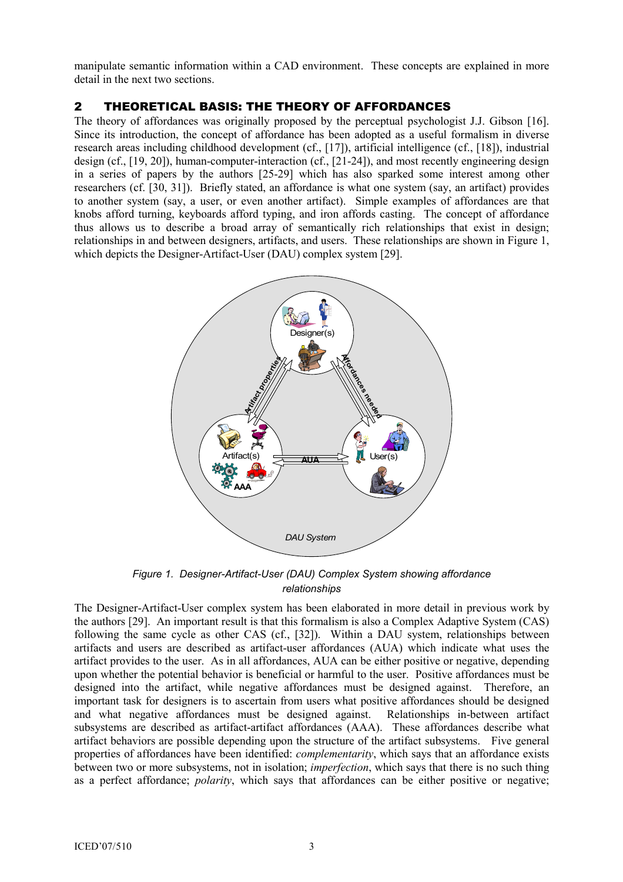manipulate semantic information within a CAD environment. These concepts are explained in more detail in the next two sections.

## 2 THEORETICAL BASIS: THE THEORY OF AFFORDANCES

The theory of affordances was originally proposed by the perceptual psychologist J.J. Gibson [16]. Since its introduction, the concept of affordance has been adopted as a useful formalism in diverse research areas including childhood development (cf., [17]), artificial intelligence (cf., [18]), industrial design (cf., [19, 20]), human-computer-interaction (cf., [21-24]), and most recently engineering design in a series of papers by the authors [25-29] which has also sparked some interest among other researchers (cf. [30, 31]). Briefly stated, an affordance is what one system (say, an artifact) provides to another system (say, a user, or even another artifact). Simple examples of affordances are that knobs afford turning, keyboards afford typing, and iron affords casting. The concept of affordance thus allows us to describe a broad array of semantically rich relationships that exist in design; relationships in and between designers, artifacts, and users. These relationships are shown in Figure 1, which depicts the Designer-Artifact-User (DAU) complex system [29].



Figure 1. Designer-Artifact-User (DAU) Complex System showing affordance relationships

The Designer-Artifact-User complex system has been elaborated in more detail in previous work by the authors [29]. An important result is that this formalism is also a Complex Adaptive System (CAS) following the same cycle as other CAS (cf., [32]). Within a DAU system, relationships between artifacts and users are described as artifact-user affordances (AUA) which indicate what uses the artifact provides to the user. As in all affordances, AUA can be either positive or negative, depending upon whether the potential behavior is beneficial or harmful to the user. Positive affordances must be designed into the artifact, while negative affordances must be designed against. Therefore, an important task for designers is to ascertain from users what positive affordances should be designed and what negative affordances must be designed against. Relationships in-between artifact subsystems are described as artifact-artifact affordances (AAA). These affordances describe what artifact behaviors are possible depending upon the structure of the artifact subsystems. Five general properties of affordances have been identified: complementarity, which says that an affordance exists between two or more subsystems, not in isolation; imperfection, which says that there is no such thing as a perfect affordance; *polarity*, which says that affordances can be either positive or negative;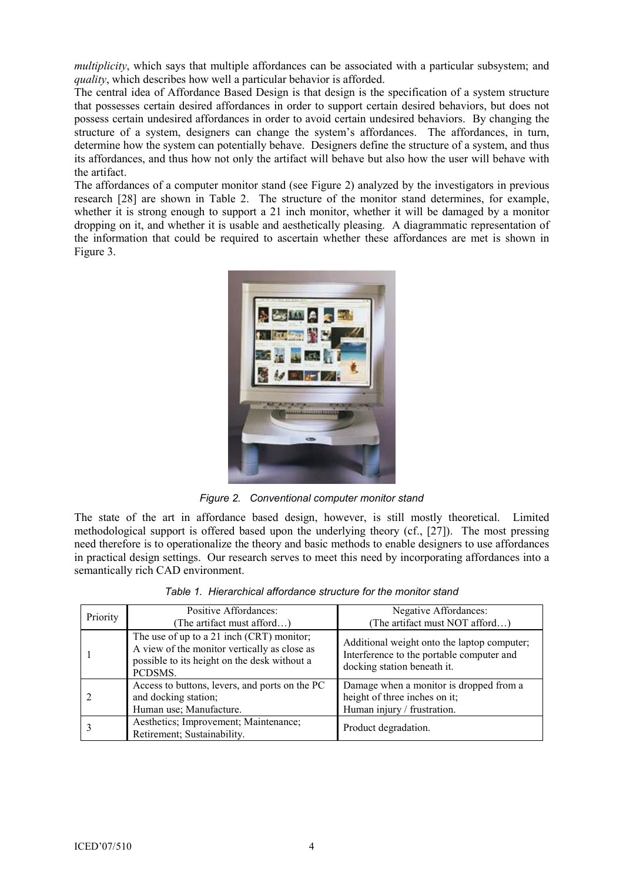multiplicity, which says that multiple affordances can be associated with a particular subsystem; and quality, which describes how well a particular behavior is afforded.

The central idea of Affordance Based Design is that design is the specification of a system structure that possesses certain desired affordances in order to support certain desired behaviors, but does not possess certain undesired affordances in order to avoid certain undesired behaviors. By changing the structure of a system, designers can change the system's affordances. The affordances, in turn, determine how the system can potentially behave. Designers define the structure of a system, and thus its affordances, and thus how not only the artifact will behave but also how the user will behave with the artifact.

The affordances of a computer monitor stand (see Figure 2) analyzed by the investigators in previous research [28] are shown in Table 2. The structure of the monitor stand determines, for example, whether it is strong enough to support a 21 inch monitor, whether it will be damaged by a monitor dropping on it, and whether it is usable and aesthetically pleasing. A diagrammatic representation of the information that could be required to ascertain whether these affordances are met is shown in Figure 3.



Figure 2. Conventional computer monitor stand

The state of the art in affordance based design, however, is still mostly theoretical. Limited methodological support is offered based upon the underlying theory (cf., [27]). The most pressing need therefore is to operationalize the theory and basic methods to enable designers to use affordances in practical design settings. Our research serves to meet this need by incorporating affordances into a semantically rich CAD environment.

| Priority | Positive Affordances:<br>(The artifact must afford)                                                                                                  | Negative Affordances:<br>(The artifact must NOT afford)                                                                 |
|----------|------------------------------------------------------------------------------------------------------------------------------------------------------|-------------------------------------------------------------------------------------------------------------------------|
|          | The use of up to a 21 inch (CRT) monitor;<br>A view of the monitor vertically as close as<br>possible to its height on the desk without a<br>PCDSMS. | Additional weight onto the laptop computer;<br>Interference to the portable computer and<br>docking station beneath it. |
|          | Access to buttons, levers, and ports on the PC<br>and docking station;<br>Human use; Manufacture.                                                    | Damage when a monitor is dropped from a<br>height of three inches on it;<br>Human injury / frustration.                 |
|          | Aesthetics; Improvement; Maintenance;<br>Retirement; Sustainability.                                                                                 | Product degradation.                                                                                                    |

Table 1. Hierarchical affordance structure for the monitor stand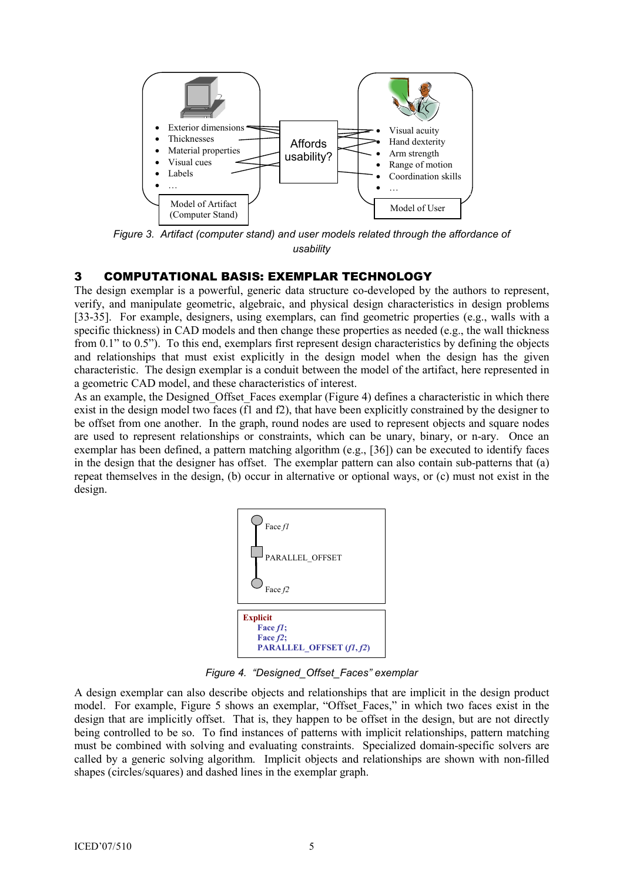

Figure 3. Artifact (computer stand) and user models related through the affordance of usability

## 3 COMPUTATIONAL BASIS: EXEMPLAR TECHNOLOGY

The design exemplar is a powerful, generic data structure co-developed by the authors to represent, verify, and manipulate geometric, algebraic, and physical design characteristics in design problems [33-35]. For example, designers, using exemplars, can find geometric properties (e.g., walls with a specific thickness) in CAD models and then change these properties as needed (e.g., the wall thickness from 0.1" to 0.5"). To this end, exemplars first represent design characteristics by defining the objects and relationships that must exist explicitly in the design model when the design has the given characteristic. The design exemplar is a conduit between the model of the artifact, here represented in a geometric CAD model, and these characteristics of interest.

As an example, the Designed Offset Faces exemplar (Figure 4) defines a characteristic in which there exist in the design model two faces (f1 and f2), that have been explicitly constrained by the designer to be offset from one another. In the graph, round nodes are used to represent objects and square nodes are used to represent relationships or constraints, which can be unary, binary, or n-ary. Once an exemplar has been defined, a pattern matching algorithm (e.g., [36]) can be executed to identify faces in the design that the designer has offset. The exemplar pattern can also contain sub-patterns that (a) repeat themselves in the design, (b) occur in alternative or optional ways, or (c) must not exist in the design.



Figure 4. "Designed\_Offset\_Faces" exemplar

A design exemplar can also describe objects and relationships that are implicit in the design product model. For example, Figure 5 shows an exemplar, "Offset\_Faces," in which two faces exist in the design that are implicitly offset. That is, they happen to be offset in the design, but are not directly being controlled to be so. To find instances of patterns with implicit relationships, pattern matching must be combined with solving and evaluating constraints. Specialized domain-specific solvers are called by a generic solving algorithm. Implicit objects and relationships are shown with non-filled shapes (circles/squares) and dashed lines in the exemplar graph.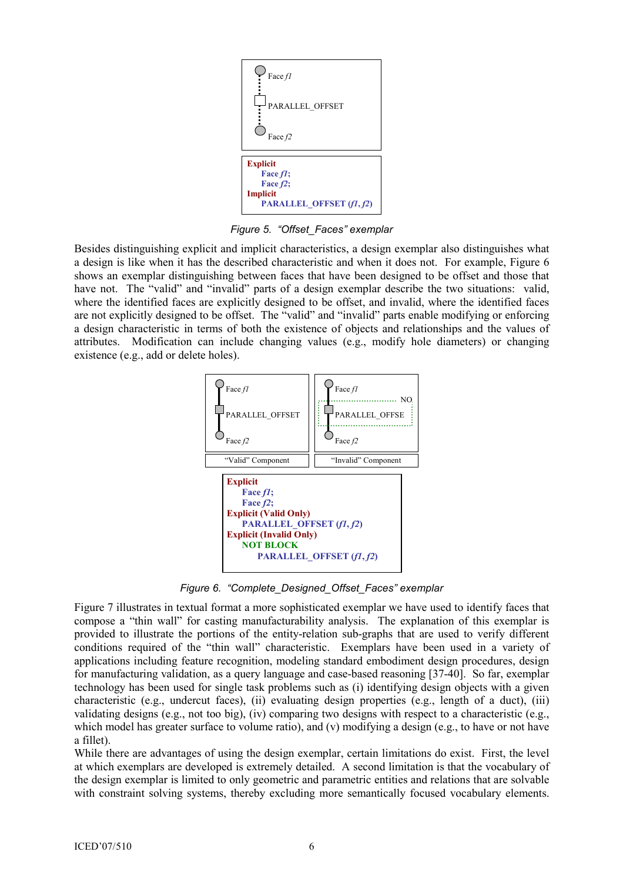

Figure 5. "Offset\_Faces" exemplar

Besides distinguishing explicit and implicit characteristics, a design exemplar also distinguishes what a design is like when it has the described characteristic and when it does not. For example, Figure 6 shows an exemplar distinguishing between faces that have been designed to be offset and those that have not. The "valid" and "invalid" parts of a design exemplar describe the two situations: valid, where the identified faces are explicitly designed to be offset, and invalid, where the identified faces are not explicitly designed to be offset. The "valid" and "invalid" parts enable modifying or enforcing a design characteristic in terms of both the existence of objects and relationships and the values of attributes. Modification can include changing values (e.g., modify hole diameters) or changing existence (e.g., add or delete holes).



Figure 6. "Complete\_Designed\_Offset\_Faces" exemplar

Figure 7 illustrates in textual format a more sophisticated exemplar we have used to identify faces that compose a "thin wall" for casting manufacturability analysis. The explanation of this exemplar is provided to illustrate the portions of the entity-relation sub-graphs that are used to verify different conditions required of the "thin wall" characteristic. Exemplars have been used in a variety of applications including feature recognition, modeling standard embodiment design procedures, design for manufacturing validation, as a query language and case-based reasoning [37-40]. So far, exemplar technology has been used for single task problems such as (i) identifying design objects with a given characteristic (e.g., undercut faces), (ii) evaluating design properties (e.g., length of a duct), (iii) validating designs (e.g., not too big), (iv) comparing two designs with respect to a characteristic (e.g., which model has greater surface to volume ratio), and (v) modifying a design (e.g., to have or not have a fillet).

While there are advantages of using the design exemplar, certain limitations do exist. First, the level at which exemplars are developed is extremely detailed. A second limitation is that the vocabulary of the design exemplar is limited to only geometric and parametric entities and relations that are solvable with constraint solving systems, thereby excluding more semantically focused vocabulary elements.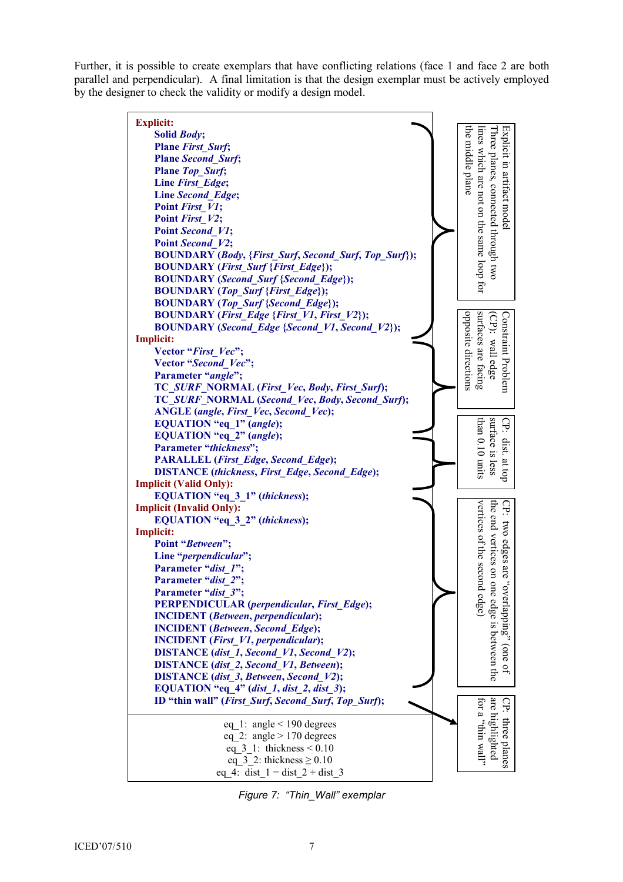Further, it is possible to create exemplars that have conflicting relations (face 1 and face 2 are both parallel and perpendicular). A final limitation is that the design exemplar must be actively employed by the designer to check the validity or modify a design model. Explicit: the middle plane lines which are not on the same loop for Explicit in artifact model the middle plane lines which are not on the same loop for Three planes, connected through two Three planes, connected through two Explicit in artifact model Solid Body; Plane First Surf; Plane Second\_Surf; Plane Top Surf; Line First Edge; Line Second\_Edge; Point First V1; Point First V2; Point Second V1; Point Second V2; BOUNDARY (Body, {First\_Surf, Second\_Surf, Top\_Surf}); BOUNDARY (First\_Surf {First\_Edge}); BOUNDARY (Second\_Surf {Second\_Edge}); BOUNDARY (Top\_Surf {First\_Edge}); BOUNDARY (Top\_Surf {Second\_Edge}); BOUNDARY (First\_Edge {First\_V1, First\_V2}); surfaces are facing opposite directions opposite directions surfaces are facing (CP): wall edge (CP): wall edge Constraint Problem Constraint Problem BOUNDARY (Second\_Edge {Second\_V1, Second\_V2}); Implicit: Vector "First\_Vec"; Vector "Second Vec"; Parameter "angle"; TC\_SURF\_NORMAL (First\_Vec, Body, First\_Surf); TC\_SURF\_NORMAL (Second\_Vec, Body, Second\_Surf); ANGLE (angle, First Vec, Second Vec); than 0.10 units surface is less EQUATION "eq\_1" (angle); than 0.10 units surface is less CP: dist. CP: dist. at top EQUATION "eq\_2" (angle); Parameter "thickness"; PARALLEL (First\_Edge, Second\_Edge);  $-$  at top DISTANCE (thickness, First\_Edge, Second\_Edge); Implicit (Valid Only): EQUATION "eq\_3\_1" (thickness); Ġ. vertices of the second edge) vertices of the second edge) the end vertices on one edge is between the CP: two edges are "overlapping" (one of Implicit (Invalid Only): the end vertices on one edge is between the EQUATION "eq\_3\_2" (thickness); two edges are "overlapping" (one of

Implicit:

Point "Between"; Line "*perpendicular*"; Parameter "dist\_1"; Parameter "dist\_2"; Parameter "dist<sup>7</sup>";

PERPENDICULAR (perpendicular, First\_Edge);

ID "thin wall" (First\_Surf, Second\_Surf, Top\_Surf);

eq 1: angle  $\leq$  190 degrees eq 2: angle  $> 170$  degrees eq  $3\,$  1: thickness  $\leq 0.10$ eq  $3\,2$ : thickness  $\geq 0.10$ eq 4: dist  $1 = dist\ 2 + dist\ 3$ 

INCIDENT (Between, perpendicular); INCIDENT (Between, Second\_Edge); INCIDENT (First\_V1, perpendicular); DISTANCE (dist 1, Second V1, Second V2); DISTANCE (dist 2, Second V1, Between); DISTANCE (dist 3, Between, Second V2); EQUATION "eq\_4" (dist\_1, dist\_2, dist\_3);

Figure 7: "Thin\_Wall" exemplar

for a "flim wall" are highlighted CP: three planes

"llaw nith" and are highlighted three planes

СP: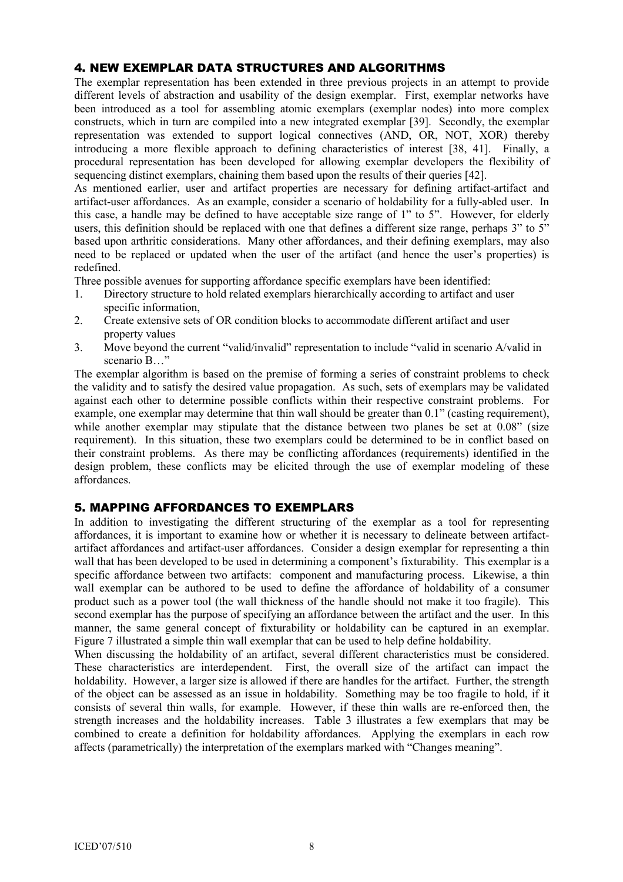# 4. NEW EXEMPLAR DATA STRUCTURES AND ALGORITHMS

The exemplar representation has been extended in three previous projects in an attempt to provide different levels of abstraction and usability of the design exemplar. First, exemplar networks have been introduced as a tool for assembling atomic exemplars (exemplar nodes) into more complex constructs, which in turn are compiled into a new integrated exemplar [39]. Secondly, the exemplar representation was extended to support logical connectives (AND, OR, NOT, XOR) thereby introducing a more flexible approach to defining characteristics of interest [38, 41]. Finally, a procedural representation has been developed for allowing exemplar developers the flexibility of sequencing distinct exemplars, chaining them based upon the results of their queries [42].

As mentioned earlier, user and artifact properties are necessary for defining artifact-artifact and artifact-user affordances. As an example, consider a scenario of holdability for a fully-abled user. In this case, a handle may be defined to have acceptable size range of 1" to 5". However, for elderly users, this definition should be replaced with one that defines a different size range, perhaps 3" to 5" based upon arthritic considerations. Many other affordances, and their defining exemplars, may also need to be replaced or updated when the user of the artifact (and hence the user's properties) is redefined.

Three possible avenues for supporting affordance specific exemplars have been identified:

- 1. Directory structure to hold related exemplars hierarchically according to artifact and user specific information
- 2. Create extensive sets of OR condition blocks to accommodate different artifact and user property values
- 3. Move beyond the current "valid/invalid" representation to include "valid in scenario A/valid in scenario B…"

The exemplar algorithm is based on the premise of forming a series of constraint problems to check the validity and to satisfy the desired value propagation. As such, sets of exemplars may be validated against each other to determine possible conflicts within their respective constraint problems. For example, one exemplar may determine that thin wall should be greater than 0.1" (casting requirement), while another exemplar may stipulate that the distance between two planes be set at 0.08" (size requirement). In this situation, these two exemplars could be determined to be in conflict based on their constraint problems. As there may be conflicting affordances (requirements) identified in the design problem, these conflicts may be elicited through the use of exemplar modeling of these affordances.

#### 5. MAPPING AFFORDANCES TO EXEMPLARS

In addition to investigating the different structuring of the exemplar as a tool for representing affordances, it is important to examine how or whether it is necessary to delineate between artifactartifact affordances and artifact-user affordances. Consider a design exemplar for representing a thin wall that has been developed to be used in determining a component's fixturability. This exemplar is a specific affordance between two artifacts: component and manufacturing process. Likewise, a thin wall exemplar can be authored to be used to define the affordance of holdability of a consumer product such as a power tool (the wall thickness of the handle should not make it too fragile). This second exemplar has the purpose of specifying an affordance between the artifact and the user. In this manner, the same general concept of fixturability or holdability can be captured in an exemplar. Figure 7 illustrated a simple thin wall exemplar that can be used to help define holdability.

When discussing the holdability of an artifact, several different characteristics must be considered. These characteristics are interdependent. First, the overall size of the artifact can impact the holdability. However, a larger size is allowed if there are handles for the artifact. Further, the strength of the object can be assessed as an issue in holdability. Something may be too fragile to hold, if it consists of several thin walls, for example. However, if these thin walls are re-enforced then, the strength increases and the holdability increases. Table 3 illustrates a few exemplars that may be combined to create a definition for holdability affordances. Applying the exemplars in each row affects (parametrically) the interpretation of the exemplars marked with "Changes meaning".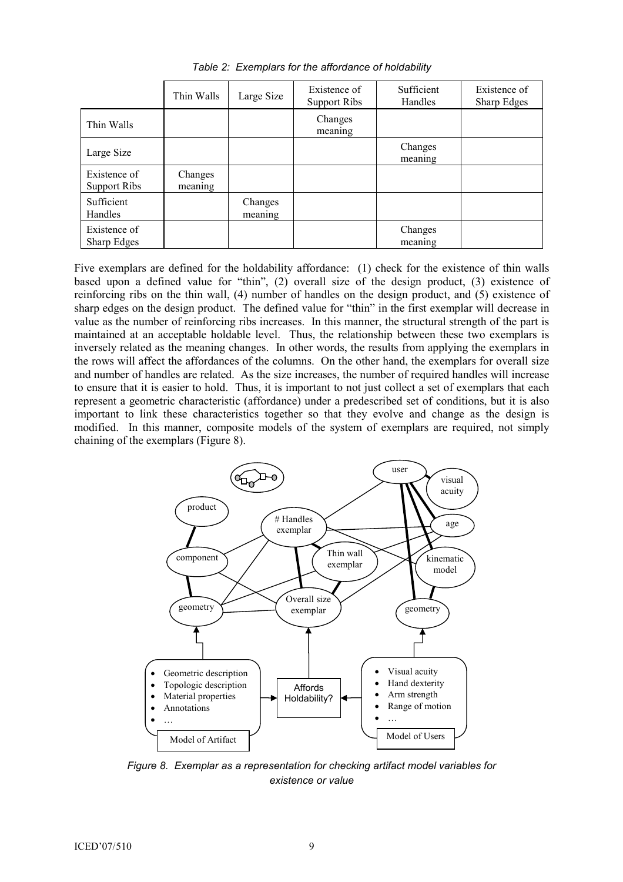|                                     | Thin Walls         | Large Size         | Existence of<br>Support Ribs | Sufficient<br>Handles | Existence of<br>Sharp Edges |
|-------------------------------------|--------------------|--------------------|------------------------------|-----------------------|-----------------------------|
| Thin Walls                          |                    |                    | Changes<br>meaning           |                       |                             |
| Large Size                          |                    |                    |                              | Changes<br>meaning    |                             |
| Existence of<br><b>Support Ribs</b> | Changes<br>meaning |                    |                              |                       |                             |
| Sufficient<br>Handles               |                    | Changes<br>meaning |                              |                       |                             |
| Existence of<br>Sharp Edges         |                    |                    |                              | Changes<br>meaning    |                             |

Table 2: Exemplars for the affordance of holdability

Five exemplars are defined for the holdability affordance: (1) check for the existence of thin walls based upon a defined value for "thin", (2) overall size of the design product, (3) existence of reinforcing ribs on the thin wall, (4) number of handles on the design product, and (5) existence of sharp edges on the design product. The defined value for "thin" in the first exemplar will decrease in value as the number of reinforcing ribs increases. In this manner, the structural strength of the part is maintained at an acceptable holdable level. Thus, the relationship between these two exemplars is inversely related as the meaning changes. In other words, the results from applying the exemplars in the rows will affect the affordances of the columns. On the other hand, the exemplars for overall size and number of handles are related. As the size increases, the number of required handles will increase to ensure that it is easier to hold. Thus, it is important to not just collect a set of exemplars that each represent a geometric characteristic (affordance) under a predescribed set of conditions, but it is also important to link these characteristics together so that they evolve and change as the design is modified. In this manner, composite models of the system of exemplars are required, not simply chaining of the exemplars (Figure 8).



Figure 8. Exemplar as a representation for checking artifact model variables for existence or value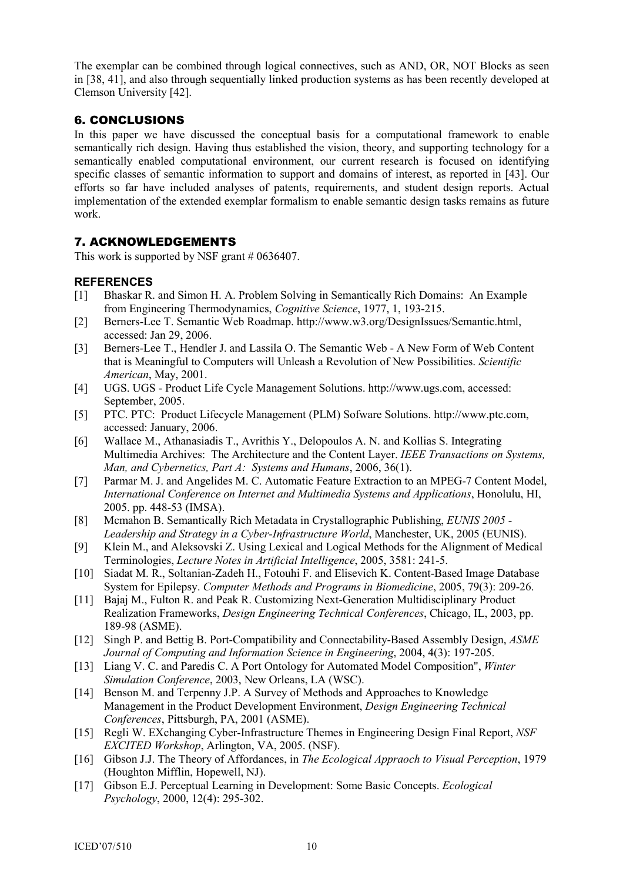The exemplar can be combined through logical connectives, such as AND, OR, NOT Blocks as seen in [38, 41], and also through sequentially linked production systems as has been recently developed at Clemson University [42].

# 6. CONCLUSIONS

In this paper we have discussed the conceptual basis for a computational framework to enable semantically rich design. Having thus established the vision, theory, and supporting technology for a semantically enabled computational environment, our current research is focused on identifying specific classes of semantic information to support and domains of interest, as reported in [43]. Our efforts so far have included analyses of patents, requirements, and student design reports. Actual implementation of the extended exemplar formalism to enable semantic design tasks remains as future work.

# 7. ACKNOWLEDGEMENTS

This work is supported by NSF grant # 0636407.

## **REFERENCES**

- [1] Bhaskar R. and Simon H. A. Problem Solving in Semantically Rich Domains: An Example from Engineering Thermodynamics, Cognitive Science, 1977, 1, 193-215.
- [2] Berners-Lee T. Semantic Web Roadmap. http://www.w3.org/DesignIssues/Semantic.html, accessed: Jan 29, 2006.
- [3] Berners-Lee T., Hendler J. and Lassila O. The Semantic Web A New Form of Web Content that is Meaningful to Computers will Unleash a Revolution of New Possibilities. Scientific American, May, 2001.
- [4] UGS. UGS Product Life Cycle Management Solutions. http://www.ugs.com, accessed: September, 2005.
- [5] PTC. PTC: Product Lifecycle Management (PLM) Sofware Solutions. http://www.ptc.com, accessed: January, 2006.
- [6] Wallace M., Athanasiadis T., Avrithis Y., Delopoulos A. N. and Kollias S. Integrating Multimedia Archives: The Architecture and the Content Layer. IEEE Transactions on Systems, Man, and Cybernetics, Part A: Systems and Humans, 2006, 36(1).
- [7] Parmar M. J. and Angelides M. C. Automatic Feature Extraction to an MPEG-7 Content Model, International Conference on Internet and Multimedia Systems and Applications, Honolulu, HI, 2005. pp. 448-53 (IMSA).
- [8] Mcmahon B. Semantically Rich Metadata in Crystallographic Publishing, EUNIS 2005 Leadership and Strategy in a Cyber-Infrastructure World, Manchester, UK, 2005 (EUNIS).
- [9] Klein M., and Aleksovski Z. Using Lexical and Logical Methods for the Alignment of Medical Terminologies, Lecture Notes in Artificial Intelligence, 2005, 3581: 241-5.
- [10] Siadat M. R., Soltanian-Zadeh H., Fotouhi F. and Elisevich K. Content-Based Image Database System for Epilepsy. Computer Methods and Programs in Biomedicine, 2005, 79(3): 209-26.
- [11] Bajaj M., Fulton R. and Peak R. Customizing Next-Generation Multidisciplinary Product Realization Frameworks, Design Engineering Technical Conferences, Chicago, IL, 2003, pp. 189-98 (ASME).
- [12] Singh P. and Bettig B. Port-Compatibility and Connectability-Based Assembly Design, ASME Journal of Computing and Information Science in Engineering, 2004, 4(3): 197-205.
- [13] Liang V. C. and Paredis C. A Port Ontology for Automated Model Composition", Winter Simulation Conference, 2003, New Orleans, LA (WSC).
- [14] Benson M. and Terpenny J.P. A Survey of Methods and Approaches to Knowledge Management in the Product Development Environment, Design Engineering Technical Conferences, Pittsburgh, PA, 2001 (ASME).
- [15] Regli W. EXchanging Cyber-Infrastructure Themes in Engineering Design Final Report, NSF EXCITED Workshop, Arlington, VA, 2005. (NSF).
- [16] Gibson J.J. The Theory of Affordances, in The Ecological Appraoch to Visual Perception, 1979 (Houghton Mifflin, Hopewell, NJ).
- [17] Gibson E.J. Perceptual Learning in Development: Some Basic Concepts. Ecological Psychology, 2000, 12(4): 295-302.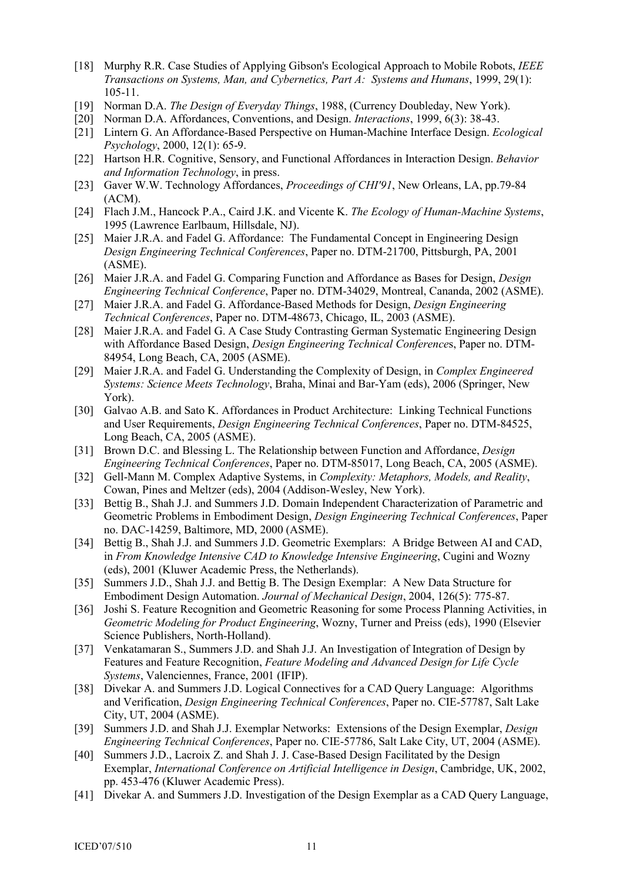- [18] Murphy R.R. Case Studies of Applying Gibson's Ecological Approach to Mobile Robots, IEEE Transactions on Systems, Man, and Cybernetics, Part A: Systems and Humans, 1999, 29(1): 105-11.
- [19] Norman D.A. The Design of Everyday Things, 1988, (Currency Doubleday, New York).
- [20] Norman D.A. Affordances, Conventions, and Design. Interactions, 1999, 6(3): 38-43.
- [21] Lintern G. An Affordance-Based Perspective on Human-Machine Interface Design. Ecological Psychology, 2000, 12(1): 65-9.
- [22] Hartson H.R. Cognitive, Sensory, and Functional Affordances in Interaction Design. Behavior and Information Technology, in press.
- [23] Gaver W.W. Technology Affordances, Proceedings of CHI'91, New Orleans, LA, pp.79-84 (ACM).
- [24] Flach J.M., Hancock P.A., Caird J.K. and Vicente K. The Ecology of Human-Machine Systems, 1995 (Lawrence Earlbaum, Hillsdale, NJ).
- [25] Maier J.R.A. and Fadel G. Affordance: The Fundamental Concept in Engineering Design Design Engineering Technical Conferences, Paper no. DTM-21700, Pittsburgh, PA, 2001 (ASME).
- [26] Maier J.R.A. and Fadel G. Comparing Function and Affordance as Bases for Design, *Design* Engineering Technical Conference, Paper no. DTM-34029, Montreal, Cananda, 2002 (ASME).
- [27] Maier J.R.A. and Fadel G. Affordance-Based Methods for Design, *Design Engineering* Technical Conferences, Paper no. DTM-48673, Chicago, IL, 2003 (ASME).
- [28] Maier J.R.A. and Fadel G. A Case Study Contrasting German Systematic Engineering Design with Affordance Based Design, *Design Engineering Technical Conferences*, Paper no. DTM-84954, Long Beach, CA, 2005 (ASME).
- [29] Maier J.R.A. and Fadel G. Understanding the Complexity of Design, in *Complex Engineered* Systems: Science Meets Technology, Braha, Minai and Bar-Yam (eds), 2006 (Springer, New York).
- [30] Galvao A.B. and Sato K. Affordances in Product Architecture: Linking Technical Functions and User Requirements, Design Engineering Technical Conferences, Paper no. DTM-84525, Long Beach, CA, 2005 (ASME).
- [31] Brown D.C. and Blessing L. The Relationship between Function and Affordance, *Design* Engineering Technical Conferences, Paper no. DTM-85017, Long Beach, CA, 2005 (ASME).
- [32] Gell-Mann M. Complex Adaptive Systems, in *Complexity: Metaphors, Models, and Reality,* Cowan, Pines and Meltzer (eds), 2004 (Addison-Wesley, New York).
- [33] Bettig B., Shah J.J. and Summers J.D. Domain Independent Characterization of Parametric and Geometric Problems in Embodiment Design, Design Engineering Technical Conferences, Paper no. DAC-14259, Baltimore, MD, 2000 (ASME).
- [34] Bettig B., Shah J.J. and Summers J.D. Geometric Exemplars: A Bridge Between AI and CAD, in From Knowledge Intensive CAD to Knowledge Intensive Engineering, Cugini and Wozny (eds), 2001 (Kluwer Academic Press, the Netherlands).
- [35] Summers J.D., Shah J.J. and Bettig B. The Design Exemplar: A New Data Structure for Embodiment Design Automation. Journal of Mechanical Design, 2004, 126(5): 775-87.
- [36] Joshi S. Feature Recognition and Geometric Reasoning for some Process Planning Activities, in Geometric Modeling for Product Engineering, Wozny, Turner and Preiss (eds), 1990 (Elsevier Science Publishers, North-Holland).
- [37] Venkatamaran S., Summers J.D. and Shah J.J. An Investigation of Integration of Design by Features and Feature Recognition, Feature Modeling and Advanced Design for Life Cycle Systems, Valenciennes, France, 2001 (IFIP).
- [38] Divekar A. and Summers J.D. Logical Connectives for a CAD Query Language: Algorithms and Verification, Design Engineering Technical Conferences, Paper no. CIE-57787, Salt Lake City, UT, 2004 (ASME).
- [39] Summers J.D. and Shah J.J. Exemplar Networks: Extensions of the Design Exemplar, *Design* Engineering Technical Conferences, Paper no. CIE-57786, Salt Lake City, UT, 2004 (ASME).
- [40] Summers J.D., Lacroix Z. and Shah J. J. Case-Based Design Facilitated by the Design Exemplar, International Conference on Artificial Intelligence in Design, Cambridge, UK, 2002, pp. 453-476 (Kluwer Academic Press).
- [41] Divekar A. and Summers J.D. Investigation of the Design Exemplar as a CAD Query Language,